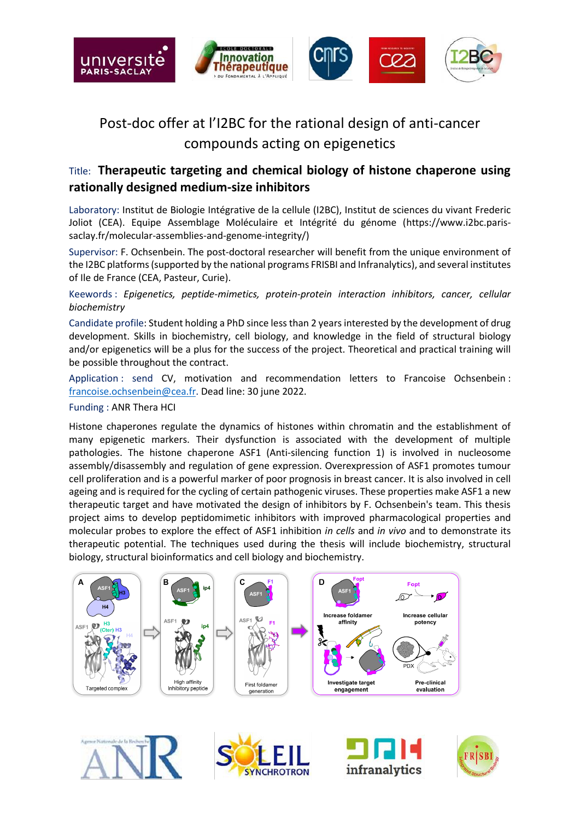

## Post-doc offer at l'I2BC for the rational design of anti-cancer compounds acting on epigenetics

## Title: **Therapeutic targeting and chemical biology of histone chaperone using rationally designed medium-size inhibitors**

Laboratory: Institut de Biologie Intégrative de la cellule (I2BC), Institut de sciences du vivant Frederic Joliot (CEA). Equipe Assemblage Moléculaire et Intégrité du génome (https://www.i2bc.parissaclay.fr/molecular-assemblies-and-genome-integrity/)

Supervisor: F. Ochsenbein. The post-doctoral researcher will benefit from the unique environment of the I2BC platforms (supported by the national programs FRISBI and Infranalytics), and several institutes of Ile de France (CEA, Pasteur, Curie).

Keewords : *Epigenetics, peptide-mimetics, protein-protein interaction inhibitors, cancer, cellular biochemistry*

Candidate profile: Student holding a PhD since less than 2 years interested by the development of drug development. Skills in biochemistry, cell biology, and knowledge in the field of structural biology and/or epigenetics will be a plus for the success of the project. Theoretical and practical training will be possible throughout the contract.

Application : send CV, motivation and recommendation letters to Francoise Ochsenbein : [francoise.ochsenbein@cea.fr.](mailto:francoise.ochsenbein@cea.fr) Dead line: 30 june 2022.

## Funding : ANR Thera HCI

Histone chaperones regulate the dynamics of histones within chromatin and the establishment of many epigenetic markers. Their dysfunction is associated with the development of multiple pathologies. The histone chaperone ASF1 (Anti-silencing function 1) is involved in nucleosome assembly/disassembly and regulation of gene expression. Overexpression of ASF1 promotes tumour cell proliferation and is a powerful marker of poor prognosis in breast cancer. It is also involved in cell ageing and is required for the cycling of certain pathogenic viruses. These properties make ASF1 a new therapeutic target and have motivated the design of inhibitors by F. Ochsenbein's team. This thesis project aims to develop peptidomimetic inhibitors with improved pharmacological properties and molecular probes to explore the effect of ASF1 inhibition *in cells* and *in vivo* and to demonstrate its therapeutic potential. The techniques used during the thesis will include biochemistry, structural biology, structural bioinformatics and cell biology and biochemistry.